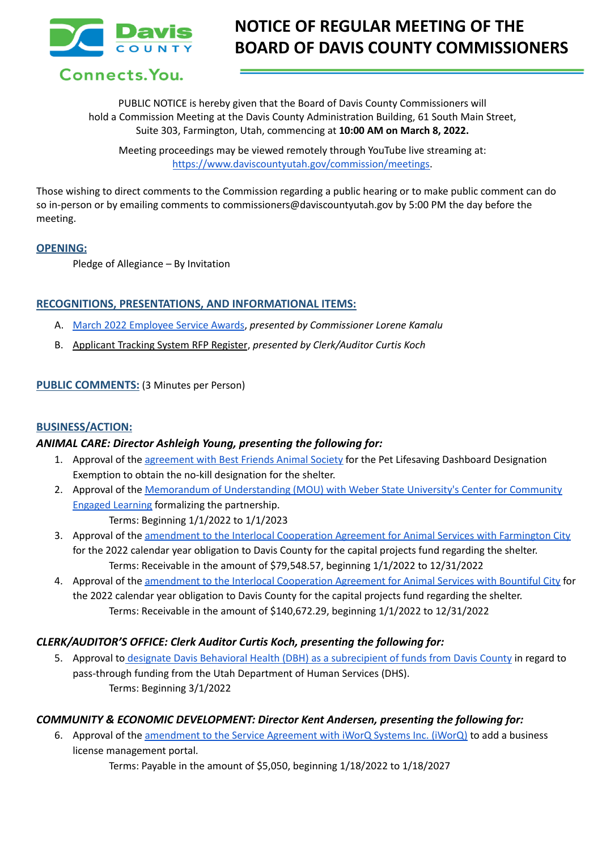

## **NOTICE OF REGULAR MEETING OF THE BOARD OF DAVIS COUNTY COMMISSIONERS**

Connects. You.

PUBLIC NOTICE is hereby given that the Board of Davis County Commissioners will hold a Commission Meeting at the Davis County Administration Building, 61 South Main Street, Suite 303, Farmington, Utah, commencing at **10:00 AM on March 8, 2022.**

Meeting proceedings may be viewed remotely through YouTube live streaming at: [https://www.daviscountyutah.gov/commission/meetings.](https://www.daviscountyutah.gov/commission/meetings)

Those wishing to direct comments to the Commission regarding a public hearing or to make public comment can do so in-person or by emailing comments to commissioners@daviscountyutah.gov by 5:00 PM the day before the meeting.

#### **OPENING:**

Pledge of Allegiance – By Invitation

## **RECOGNITIONS, PRESENTATIONS, AND INFORMATIONAL ITEMS:**

- A. March 2022 [Employee](https://drive.google.com/file/d/17TFSnHwhgnHpBYqaixa8zzIFYnHMYMyO/view?usp=sharing) Service Awards, *presented by Commissioner Lorene Kamalu*
- B. Applicant Tracking System RFP Register, *presented by Clerk/Auditor Curtis Koch*

## **PUBLIC COMMENTS:** (3 Minutes per Person)

#### **BUSINESS/ACTION:**

## *ANIMAL CARE: Director Ashleigh Young, presenting the following for:*

- 1. Approval of the [agreement](https://drive.google.com/file/d/1jywGui4PNppLAJJ6KrisEshx2_4J5YpR/view?usp=sharing) with Best Friends Animal Society for the Pet Lifesaving Dashboard Designation Exemption to obtain the no-kill designation for the shelter.
- 2. Approval of the Memorandum of [Understanding](https://drive.google.com/file/d/1WpgOyUmOAcD7ryb6upUbqWSWr-MyHgYY/view?usp=sharing) (MOU) with Weber State University's Center for Community Engaged [Learning](https://drive.google.com/file/d/1WpgOyUmOAcD7ryb6upUbqWSWr-MyHgYY/view?usp=sharing) formalizing the partnership.

Terms: Beginning 1/1/2022 to 1/1/2023

- 3. Approval of the amendment to the Interlocal [Cooperation](https://drive.google.com/file/d/1GWh3v4-GIIlKHnbbCVobsLdu04fy3UKE/view?usp=sharing) Agreement for Animal Services with Farmington City for the 2022 calendar year obligation to Davis County for the capital projects fund regarding the shelter. Terms: Receivable in the amount of \$79,548.57, beginning 1/1/2022 to 12/31/2022
- 4. Approval of the amendment to the Interlocal [Cooperation](https://drive.google.com/file/d/1RFztSpqsLjXnGAykyjmdZWjqD5zFFy0N/view?usp=sharing) Agreement for Animal Services with Bountiful City for the 2022 calendar year obligation to Davis County for the capital projects fund regarding the shelter. Terms: Receivable in the amount of \$140,672.29, beginning 1/1/2022 to 12/31/2022

## *CLERK/AUDITOR'S OFFICE: Clerk Auditor Curtis Koch, presenting the following for:*

5. Approval to designate Davis Behavioral Health (DBH) as a [subrecipient](https://drive.google.com/file/d/1nxmZRKp1gEiqswqFlFGA1gyDW9SdYiy1/view?usp=sharing) of funds from Davis County in regard to pass-through funding from the Utah Department of Human Services (DHS). Terms: Beginning 3/1/2022

## *COMMUNITY & ECONOMIC DEVELOPMENT: Director Kent Andersen, presenting the following for:*

6. Approval of the [amendment](https://drive.google.com/file/d/1virwemCXSUDYPDylRGzsmOyk6OMJDhC2/view?usp=sharing) to the Service Agreement with iWorQ Systems Inc. (iWorQ) to add a business license management portal.

Terms: Payable in the amount of \$5,050, beginning 1/18/2022 to 1/18/2027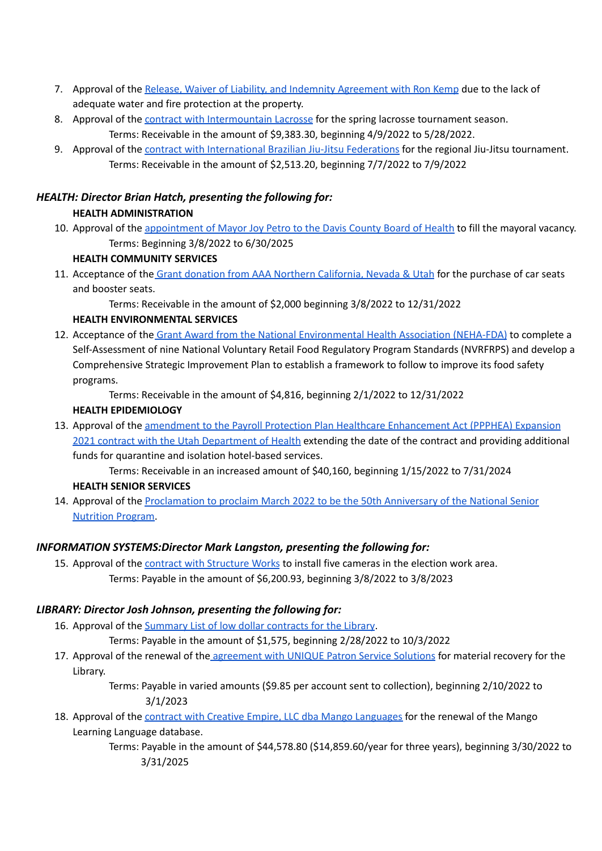- 7. Approval of the Release, Waiver of Liability, and Indemnity [Agreement](https://drive.google.com/file/d/1X1E6Od269asIGofREgbOtEq1G66_Whe2/view?usp=sharing) with Ron Kemp due to the lack of adequate water and fire protection at the property.
- 8. Approval of the contract with [Intermountain](https://drive.google.com/file/d/18pNiGwaV6bJfhRba6J5mLzP32zHWEzhx/view?usp=sharing) Lacrosse for the spring lacrosse tournament season. Terms: Receivable in the amount of \$9,383.30, beginning 4/9/2022 to 5/28/2022.
- 9. Approval of the contract with [International](https://drive.google.com/file/d/1EyzT46nTZBrJB5rlzdM2nJcG3VvLwFOD/view?usp=sharing) Brazilian Jiu-Jitsu Federations for the regional Jiu-Jitsu tournament. Terms: Receivable in the amount of \$2,513.20, beginning 7/7/2022 to 7/9/2022

# *HEALTH: Director Brian Hatch, presenting the following for:*

## **HEALTH ADMINISTRATION**

10. Approval of the [appointment](https://drive.google.com/file/d/1fsk_gggsQvR4a8sZrLmmSNlCDH3Sr2g0/view?usp=sharing) of Mayor Joy Petro to the Davis County Board of Health to fill the mayoral vacancy. Terms: Beginning 3/8/2022 to 6/30/2025

## **HEALTH COMMUNITY SERVICES**

11. Acceptance of the Grant donation from AAA Northern [California,](https://drive.google.com/file/d/1I4nt7v1_5MVPrH2Zgr7xgGLL7ODEgs5W/view?usp=sharing) Nevada & Utah for the purchase of car seats and booster seats.

Terms: Receivable in the amount of \$2,000 beginning 3/8/2022 to 12/31/2022

## **HEALTH ENVIRONMENTAL SERVICES**

12. Acceptance of the Grant Award from the National [Environmental](https://drive.google.com/file/d/1IERx9woK6SeyQN2rOw9dAvIG8t0R6K-X/view?usp=sharing) Health Association (NEHA-FDA) to complete a Self-Assessment of nine National Voluntary Retail Food Regulatory Program Standards (NVRFRPS) and develop a Comprehensive Strategic Improvement Plan to establish a framework to follow to improve its food safety programs.

Terms: Receivable in the amount of \$4,816, beginning 2/1/2022 to 12/31/2022

## **HEALTH EPIDEMIOLOGY**

13. Approval of the amendment to the Payroll Protection Plan Healthcare [Enhancement](https://drive.google.com/file/d/1iuNOx2TfpsihB8yJIAH4INUYa9vjofRX/view?usp=sharing) Act (PPPHEA) Expansion 2021 contract with the Utah [Department](https://drive.google.com/file/d/1iuNOx2TfpsihB8yJIAH4INUYa9vjofRX/view?usp=sharing) of Health extending the date of the contract and providing additional funds for quarantine and isolation hotel-based services.

Terms: Receivable in an increased amount of \$40,160, beginning 1/15/2022 to 7/31/2024

## **HEALTH SENIOR SERVICES**

14. Approval of the [Proclamation](https://drive.google.com/file/d/1OMi0OACvUm4uw3Zt1ZEUxekk3Xvnr2mP/view?usp=sharing) to proclaim March 2022 to be the 50th Anniversary of the National Senior [Nutrition](https://drive.google.com/file/d/1OMi0OACvUm4uw3Zt1ZEUxekk3Xvnr2mP/view?usp=sharing) Program.

## *INFORMATION SYSTEMS:Director Mark Langston, presenting the following for:*

15. Approval of the contract with [Structure](https://drive.google.com/file/d/1LsgNM5JpD0PY1F8bNtCgNSJLi2LMZvsC/view?usp=sharing) Works to install five cameras in the election work area. Terms: Payable in the amount of \$6,200.93, beginning 3/8/2022 to 3/8/2023

## *LIBRARY: Director Josh Johnson, presenting the following for:*

16. Approval of the [Summary](https://drive.google.com/file/d/1Y1lU3PDtYtx3--i5COmmf8KjXBGpZdof/view?usp=sharing) List of low dollar contracts for the Library.

Terms: Payable in the amount of \$1,575, beginning 2/28/2022 to 10/3/2022

17. Approval of the renewal of the [agreement](https://drive.google.com/file/d/1U1suKFLEjJQ2RbSGFAirZKebgfaH1S69/view?usp=sharing) with UNIQUE Patron Service Solutions for material recovery for the Library.

> Terms: Payable in varied amounts (\$9.85 per account sent to collection), beginning 2/10/2022 to 3/1/2023

18. Approval of the contract with Creative Empire, LLC dba Mango [Languages](https://drive.google.com/file/d/1v8IC0nRpe7M8zyO2cD48oPN1b_NsT1rz/view?usp=sharing) for the renewal of the Mango Learning Language database.

> Terms: Payable in the amount of \$44,578.80 (\$14,859.60/year for three years), beginning 3/30/2022 to 3/31/2025